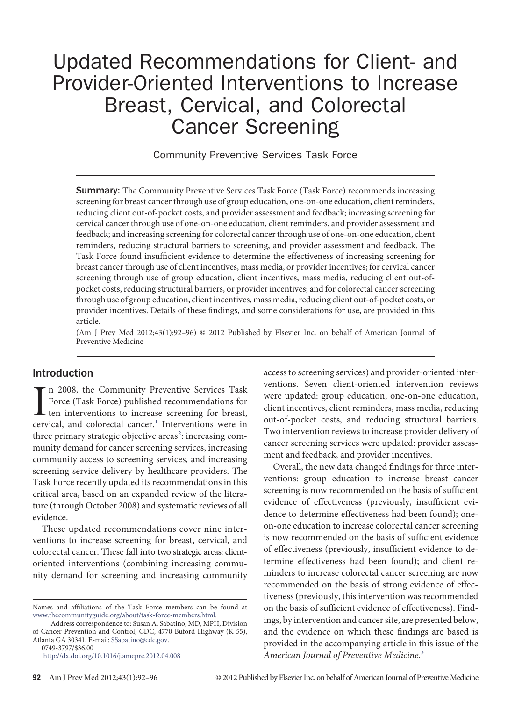# Updated Recommendations for Client- and Provider-Oriented Interventions to Increase Breast, Cervical, and Colorectal Cancer Screening

Community Preventive Services Task Force

**Summary:** The Community Preventive Services Task Force (Task Force) recommends increasing screening for breast cancer through use of group education, one-on-one education, client reminders, reducing client out-of-pocket costs, and provider assessment and feedback; increasing screening for cervical cancer through use of one-on-one education, client reminders, and provider assessment and feedback; and increasing screening for colorectal cancer through use of one-on-one education, client reminders, reducing structural barriers to screening, and provider assessment and feedback. The Task Force found insuffıcient evidence to determine the effectiveness of increasing screening for breast cancer through use of client incentives, mass media, or provider incentives; for cervical cancer screening through use of group education, client incentives, mass media, reducing client out-ofpocket costs, reducing structural barriers, or provider incentives; and for colorectal cancer screening through use of group education, client incentives, mass media, reducing client out-of-pocket costs, or provider incentives. Details of these fındings, and some considerations for use, are provided in this article.

(Am J Prev Med 2012;43(1):92–96) © 2012 Published by Elsevier Inc. on behalf of American Journal of Preventive Medicine

# Introduction

In 2008, the Community Preventive Services Task<br>Force (Task Force) published recommendations for<br>ten interventions to increase screening for breast,<br>cervical, and colorectal cancer.<sup>1</sup> Interventions were in n 2008, the Community Preventive Services Task Force (Task Force) published recommendations for ten interventions to increase screening for breast, three primary strategic objective areas<sup>[2](#page-4-1)</sup>: increasing community demand for cancer screening services, increasing community access to screening services, and increasing screening service delivery by healthcare providers. The Task Force recently updated its recommendations in this critical area, based on an expanded review of the literature (through October 2008) and systematic reviews of all evidence.

These updated recommendations cover nine interventions to increase screening for breast, cervical, and colorectal cancer. These fall into two strategic areas: clientoriented interventions (combining increasing community demand for screening and increasing community

Address correspondence to: Susan A. Sabatino, MD, MPH, Division of Cancer Prevention and Control, CDC, 4770 Buford Highway (K-55), Atlanta GA 30341. E-mail: [SSabatino@cdc.gov.](mailto:koh6@cdc.gov)

<http://dx.doi.org/10.1016/j.amepre.2012.04.008>

accessto screening services) and provider-oriented interventions. Seven client-oriented intervention reviews were updated: group education, one-on-one education, client incentives, client reminders, mass media, reducing out-of-pocket costs, and reducing structural barriers. Two intervention reviewsto increase provider delivery of cancer screening services were updated: provider assessment and feedback, and provider incentives.

Overall, the new data changed fındings for three interventions: group education to increase breast cancer screening is now recommended on the basis of suffıcient evidence of effectiveness (previously, insuffıcient evidence to determine effectiveness had been found); oneon-one education to increase colorectal cancer screening is now recommended on the basis of suffıcient evidence of effectiveness (previously, insuffıcient evidence to determine effectiveness had been found); and client reminders to increase colorectal cancer screening are now recommended on the basis of strong evidence of effectiveness (previously, this intervention was recommended on the basis of suffıcient evidence of effectiveness). Findings, by intervention and cancer site, are presented below, and the evidence on which these fındings are based is provided in the accompanying article in this issue of the *American Journal of Preventive Medicine*. [3](#page-4-2)

Names and affıliations of the Task Force members can be found at [www.thecommunityguide.org/about/task-force-members.html.](http://www.thecommunityguide.org/about/task-force-members.html)

<sup>0749-3797/\$36.00</sup>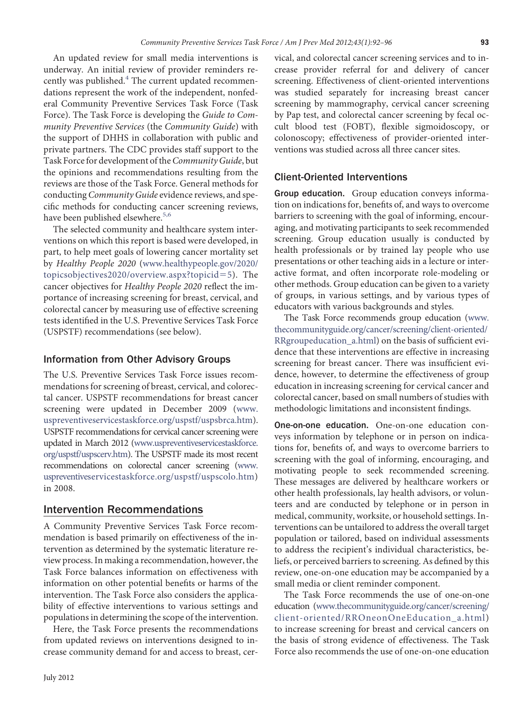An updated review for small media interventions is underway. An initial review of provider reminders recently was published.<sup>4</sup> The current updated recommendations represent the work of the independent, nonfederal Community Preventive Services Task Force (Task Force). The Task Force is developing the *Guide to Community Preventive Services* (the *Community Guide*) with the support of DHHS in collaboration with public and private partners. The CDC provides staff support to the Task Force for development ofthe*CommunityGuide*, but the opinions and recommendations resulting from the reviews are those of the Task Force. General methods for conducting*CommunityGuide* evidence reviews, and specifıc methods for conducting cancer screening reviews, have been published elsewhere.<sup>5,6</sup>

The selected community and healthcare system interventions on which this report is based were developed, in part, to help meet goals of lowering cancer mortality set by *Healthy People 2020* [\(www.healthypeople.gov/2020/](http://www.healthypeople.gov/2020/topicsobjectives2020/overview.aspx?topicid=5) [topicsobjectives2020/overview.aspx?topicid](http://www.healthypeople.gov/2020/topicsobjectives2020/overview.aspx?topicid=5)=5). The cancer objectives for *Healthy People 2020* reflect the importance of increasing screening for breast, cervical, and colorectal cancer by measuring use of effective screening tests identifıed in the U.S. Preventive Services Task Force (USPSTF) recommendations (see below).

### Information from Other Advisory Groups

The U.S. Preventive Services Task Force issues recommendations for screening of breast, cervical, and colorectal cancer. USPSTF recommendations for breast cancer screening were updated in December 2009 [\(www.](http://www.uspreventiveservicestaskforce.org/uspstf/uspsbrca.htm) [uspreventiveservicestaskforce.org/uspstf/uspsbrca.htm\)](http://www.uspreventiveservicestaskforce.org/uspstf/uspsbrca.htm). USPSTF recommendations for cervical cancer screening were updated in March 2012 [\(www.uspreventiveservicestaskforce.](http://www.uspreventiveservicestaskforce.org/uspstf/uspscerv.htm) [org/uspstf/uspscerv.htm\)](http://www.uspreventiveservicestaskforce.org/uspstf/uspscerv.htm). The USPSTF made its most recent recommendations on colorectal cancer screening [\(www.](http://www.uspreventiveservicestaskforce.org/uspstf/uspscolo.htm) [uspreventiveservicestaskforce.org/uspstf/uspscolo.htm\)](http://www.uspreventiveservicestaskforce.org/uspstf/uspscolo.htm) in 2008.

# Intervention Recommendations

A Community Preventive Services Task Force recommendation is based primarily on effectiveness of the intervention as determined by the systematic literature reviewprocess.In making a recommendation, however, the Task Force balances information on effectiveness with information on other potential benefıts or harms of the intervention. The Task Force also considers the applicability of effective interventions to various settings and populations in determining the scope of the intervention.

Here, the Task Force presents the recommendations from updated reviews on interventions designed to increase community demand for and access to breast, cervical, and colorectal cancer screening services and to increase provider referral for and delivery of cancer screening. Effectiveness of client-oriented interventions was studied separately for increasing breast cancer screening by mammography, cervical cancer screening by Pap test, and colorectal cancer screening by fecal occult blood test (FOBT), flexible sigmoidoscopy, or colonoscopy; effectiveness of provider-oriented interventions was studied across all three cancer sites.

## Client-Oriented Interventions

Group education. Group education conveys information on indications for, benefits of, and ways to overcome barriers to screening with the goal of informing, encouraging, and motivating participants to seek recommended screening. Group education usually is conducted by health professionals or by trained lay people who use presentations or other teaching aids in a lecture or interactive format, and often incorporate role-modeling or other methods. Group education can be given to a variety of groups, in various settings, and by various types of educators with various backgrounds and styles.

The Task Force recommends group education [\(www.](http://www.thecommunityguide.org/cancer/screening/client-oriented/RRgroupeducation_a.html) [thecommunityguide.org/cancer/screening/client-oriented/](http://www.thecommunityguide.org/cancer/screening/client-oriented/RRgroupeducation_a.html) [RRgroupeducation\\_a.html\)](http://www.thecommunityguide.org/cancer/screening/client-oriented/RRgroupeducation_a.html) on the basis of suffıcient evidence that these interventions are effective in increasing screening for breast cancer. There was insuffıcient evidence, however, to determine the effectiveness of group education in increasing screening for cervical cancer and colorectal cancer, based on small numbers of studies with methodologic limitations and inconsistent fındings.

One-on-one education. One-on-one education conveys information by telephone or in person on indications for, benefıts of, and ways to overcome barriers to screening with the goal of informing, encouraging, and motivating people to seek recommended screening. These messages are delivered by healthcare workers or other health professionals, lay health advisors, or volunteers and are conducted by telephone or in person in medical, community, worksite, or household settings. Interventions can be untailored to address the overall target population or tailored, based on individual assessments to address the recipient's individual characteristics, beliefs, or perceived barriers to screening. As defined by this review, one-on-one education may be accompanied by a small media or client reminder component.

The Task Force recommends the use of one-on-one education [\(www.thecommunityguide.org/cancer/screening/](http://www.thecommunityguide.org/cancer/screening/client-oriented/RROneonOneEducation_a.html) [client-oriented/RROneonOneEducation\\_a.html\)](http://www.thecommunityguide.org/cancer/screening/client-oriented/RROneonOneEducation_a.html) to increase screening for breast and cervical cancers on the basis of strong evidence of effectiveness. The Task Force also recommends the use of one-on-one education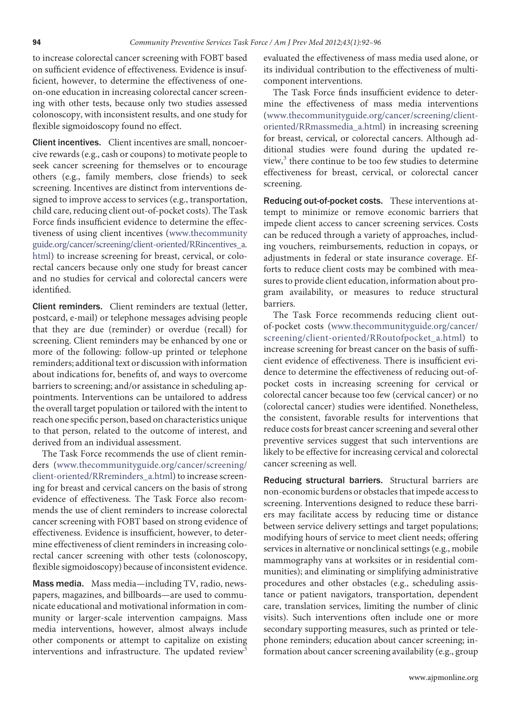to increase colorectal cancer screening with FOBT based on suffıcient evidence of effectiveness. Evidence is insuffıcient, however, to determine the effectiveness of oneon-one education in increasing colorectal cancer screening with other tests, because only two studies assessed colonoscopy, with inconsistent results, and one study for flexible sigmoidoscopy found no effect.

Client incentives. Client incentives are small, noncoercive rewards (e.g., cash or coupons) to motivate people to seek cancer screening for themselves or to encourage others (e.g., family members, close friends) to seek screening. Incentives are distinct from interventions designed to improve access to services (e.g., transportation, child care, reducing client out-of-pocket costs). The Task Force fınds insuffıcient evidence to determine the effectiveness of using client incentives [\(www.thecommunity](http://www.thecommunityguide.org/cancer/screening/client-oriented/RRincentives_a.html) [guide.org/cancer/screening/client-oriented/RRincentives\\_a.](http://www.thecommunityguide.org/cancer/screening/client-oriented/RRincentives_a.html) [html\)](http://www.thecommunityguide.org/cancer/screening/client-oriented/RRincentives_a.html) to increase screening for breast, cervical, or colorectal cancers because only one study for breast cancer and no studies for cervical and colorectal cancers were identifıed.

Client reminders. Client reminders are textual (letter, postcard, e-mail) or telephone messages advising people that they are due (reminder) or overdue (recall) for screening. Client reminders may be enhanced by one or more of the following: follow-up printed or telephone reminders; additional text or discussion with information about indications for, benefıts of, and ways to overcome barriers to screening; and/or assistance in scheduling appointments. Interventions can be untailored to address the overall target population or tailored with the intent to reach one specifıc person, based on characteristics unique to that person, related to the outcome of interest, and derived from an individual assessment.

The Task Force recommends the use of client reminders [\(www.thecommunityguide.org/cancer/screening/](http://www.thecommunityguide.org/cancer/screening/client-oriented/RRreminders_a.html) [client-oriented/RRreminders\\_a.html\)](http://www.thecommunityguide.org/cancer/screening/client-oriented/RRreminders_a.html) to increase screening for breast and cervical cancers on the basis of strong evidence of effectiveness. The Task Force also recommends the use of client reminders to increase colorectal cancer screening with FOBT based on strong evidence of effectiveness. Evidence is insuffıcient, however, to determine effectiveness of client reminders in increasing colorectal cancer screening with other tests (colonoscopy, flexible sigmoidoscopy) because of inconsistent evidence.

Mass media. Mass media—including TV, radio, newspapers, magazines, and billboards—are used to communicate educational and motivational information in community or larger-scale intervention campaigns. Mass media interventions, however, almost always include other components or attempt to capitalize on existing interventions and infrastructure. The updated review<sup>[3](#page-4-2)</sup>

evaluated the effectiveness of mass media used alone, or its individual contribution to the effectiveness of multicomponent interventions.

The Task Force fınds insuffıcient evidence to determine the effectiveness of mass media interventions [\(www.thecommunityguide.org/cancer/screening/client](http://www.thecommunityguide.org/cancer/screening/client-oriented/RRmassmedia_a.html)[oriented/RRmassmedia\\_a.html\)](http://www.thecommunityguide.org/cancer/screening/client-oriented/RRmassmedia_a.html) in increasing screening for breast, cervical, or colorectal cancers. Although additional studies were found during the updated review, $3$  there continue to be too few studies to determine effectiveness for breast, cervical, or colorectal cancer screening.

Reducing out-of-pocket costs. These interventions attempt to minimize or remove economic barriers that impede client access to cancer screening services. Costs can be reduced through a variety of approaches, including vouchers, reimbursements, reduction in copays, or adjustments in federal or state insurance coverage. Efforts to reduce client costs may be combined with measures to provide client education, information about program availability, or measures to reduce structural barriers.

The Task Force recommends reducing client outof-pocket costs [\(www.thecommunityguide.org/cancer/](http://www.thecommunityguide.org/cancer/screening/client-oriented/RRoutofpocket_a.html) [screening/client-oriented/RRoutofpocket\\_a.html\)](http://www.thecommunityguide.org/cancer/screening/client-oriented/RRoutofpocket_a.html) to increase screening for breast cancer on the basis of suffıcient evidence of effectiveness. There is insuffıcient evidence to determine the effectiveness of reducing out-ofpocket costs in increasing screening for cervical or colorectal cancer because too few (cervical cancer) or no (colorectal cancer) studies were identifıed. Nonetheless, the consistent, favorable results for interventions that reduce costs for breast cancer screening and several other preventive services suggest that such interventions are likely to be effective for increasing cervical and colorectal cancer screening as well.

Reducing structural barriers. Structural barriers are non-economic burdens or obstacles that impede access to screening. Interventions designed to reduce these barriers may facilitate access by reducing time or distance between service delivery settings and target populations; modifying hours of service to meet client needs; offering services in alternative or nonclinical settings (e.g., mobile mammography vans at worksites or in residential communities); and eliminating or simplifying administrative procedures and other obstacles (e.g., scheduling assistance or patient navigators, transportation, dependent care, translation services, limiting the number of clinic visits). Such interventions often include one or more secondary supporting measures, such as printed or telephone reminders; education about cancer screening; information about cancer screening availability (e.g., group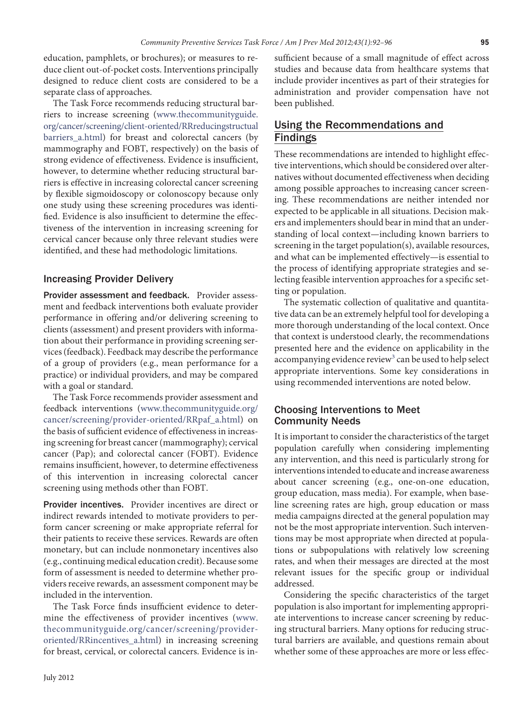education, pamphlets, or brochures); or measures to reduce client out-of-pocket costs. Interventions principally designed to reduce client costs are considered to be a separate class of approaches.

The Task Force recommends reducing structural barriers to increase screening [\(www.thecommunityguide.](http://www.thecommunityguide.org/cancer/screening/client-oriented/RRreducingstructualbarriers_a.html) [org/cancer/screening/client-oriented/RRreducingstructual](http://www.thecommunityguide.org/cancer/screening/client-oriented/RRreducingstructualbarriers_a.html) [barriers\\_a.html\)](http://www.thecommunityguide.org/cancer/screening/client-oriented/RRreducingstructualbarriers_a.html) for breast and colorectal cancers (by mammography and FOBT, respectively) on the basis of strong evidence of effectiveness. Evidence is insuffıcient, however, to determine whether reducing structural barriers is effective in increasing colorectal cancer screening by flexible sigmoidoscopy or colonoscopy because only one study using these screening procedures was identifıed. Evidence is also insuffıcient to determine the effectiveness of the intervention in increasing screening for cervical cancer because only three relevant studies were identifıed, and these had methodologic limitations.

# Increasing Provider Delivery

Provider assessment and feedback. Provider assessment and feedback interventions both evaluate provider performance in offering and/or delivering screening to clients (assessment) and present providers with information about their performance in providing screening services(feedback). Feedback may describe the performance of a group of providers (e.g., mean performance for a practice) or individual providers, and may be compared with a goal or standard.

The Task Force recommends provider assessment and feedback interventions [\(www.thecommunityguide.org/](http://www.thecommunityguide.org/cancer/screening/provider-oriented/RRpaf_a.html) [cancer/screening/provider-oriented/RRpaf\\_a.html\)](http://www.thecommunityguide.org/cancer/screening/provider-oriented/RRpaf_a.html) on the basis of suffıcient evidence of effectiveness in increasing screening for breast cancer(mammography); cervical cancer (Pap); and colorectal cancer (FOBT). Evidence remains insuffıcient, however, to determine effectiveness of this intervention in increasing colorectal cancer screening using methods other than FOBT.

Provider incentives. Provider incentives are direct or indirect rewards intended to motivate providers to perform cancer screening or make appropriate referral for their patients to receive these services. Rewards are often monetary, but can include nonmonetary incentives also (e.g., continuing medical education credit). Because some form of assessment is needed to determine whether providers receive rewards, an assessment component may be included in the intervention.

The Task Force fınds insuffıcient evidence to determine the effectiveness of provider incentives [\(www.](http://www.thecommunityguide.org/cancer/screening/provider-oriented/RRincentives_a.html) [thecommunityguide.org/cancer/screening/provider](http://www.thecommunityguide.org/cancer/screening/provider-oriented/RRincentives_a.html)[oriented/RRincentives\\_a.html\)](http://www.thecommunityguide.org/cancer/screening/provider-oriented/RRincentives_a.html) in increasing screening for breast, cervical, or colorectal cancers. Evidence is in-

suffıcient because of a small magnitude of effect across studies and because data from healthcare systems that include provider incentives as part of their strategies for administration and provider compensation have not been published.

# Using the Recommendations and Findings

These recommendations are intended to highlight effective interventions,which should be considered over alternatives without documented effectiveness when deciding among possible approaches to increasing cancer screening. These recommendations are neither intended nor expected to be applicable in all situations. Decision makers and implementers should bear in mind that an understanding of local context—including known barriers to screening in the target population(s), available resources, and what can be implemented effectively—is essential to the process of identifying appropriate strategies and selecting feasible intervention approaches for a specifıc setting or population.

The systematic collection of qualitative and quantitative data can be an extremely helpful tool for developing a more thorough understanding of the local context. Once that context is understood clearly, the recommendations presented here and the evidence on applicability in the accompanying evidence review<sup>[3](#page-4-2)</sup> can be used to help select appropriate interventions. Some key considerations in using recommended interventions are noted below.

# Choosing Interventions to Meet Community Needs

It is important to consider the characteristics of the target population carefully when considering implementing any intervention, and this need is particularly strong for interventionsintended to educate and increase awareness about cancer screening (e.g., one-on-one education, group education, mass media). For example, when baseline screening rates are high, group education or mass media campaigns directed at the general population may not be the most appropriate intervention. Such interventions may be most appropriate when directed at populations or subpopulations with relatively low screening rates, and when their messages are directed at the most relevant issues for the specifıc group or individual addressed.

Considering the specifıc characteristics of the target population is also important for implementing appropriate interventions to increase cancer screening by reducing structural barriers. Many options for reducing structural barriers are available, and questions remain about whether some of these approaches are more or less effec-